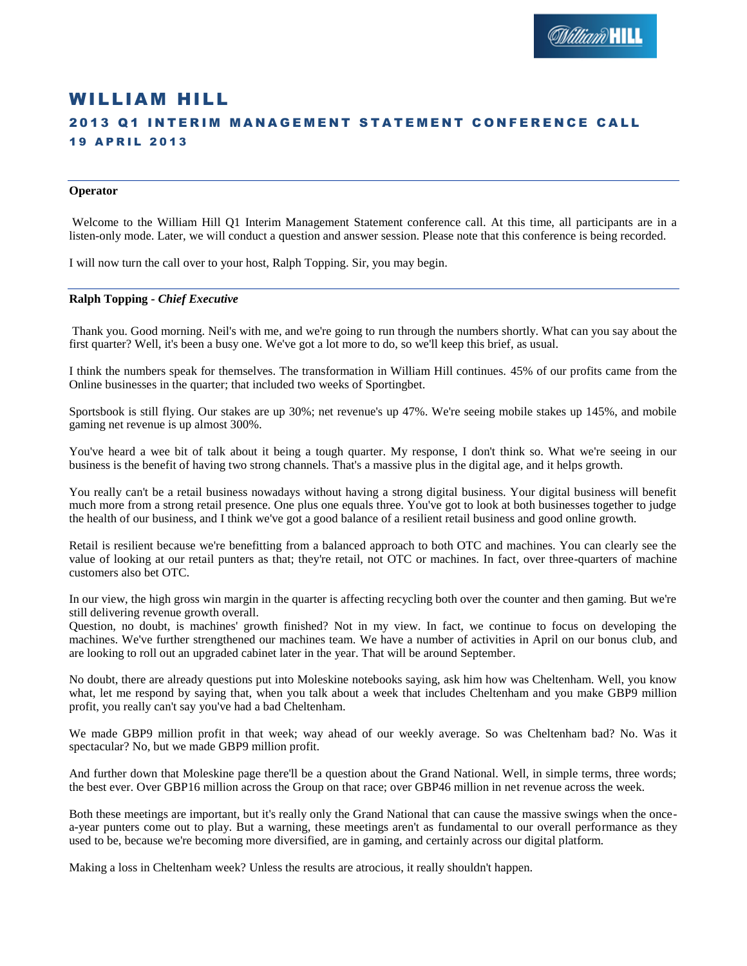# WILLIAM HILL **2013 Q1 INTERIM MANAGEMENT STATEMENT CONFERENCE CALL 19 APRIL 2013**

#### **Operator**

Welcome to the William Hill Q1 Interim Management Statement conference call. At this time, all participants are in a listen-only mode. Later, we will conduct a question and answer session. Please note that this conference is being recorded.

I will now turn the call over to your host, Ralph Topping. Sir, you may begin.

#### **Ralph Topping** *- Chief Executive*

Thank you. Good morning. Neil's with me, and we're going to run through the numbers shortly. What can you say about the first quarter? Well, it's been a busy one. We've got a lot more to do, so we'll keep this brief, as usual.

I think the numbers speak for themselves. The transformation in William Hill continues. 45% of our profits came from the Online businesses in the quarter; that included two weeks of Sportingbet.

Sportsbook is still flying. Our stakes are up 30%; net revenue's up 47%. We're seeing mobile stakes up 145%, and mobile gaming net revenue is up almost 300%.

You've heard a wee bit of talk about it being a tough quarter. My response, I don't think so. What we're seeing in our business is the benefit of having two strong channels. That's a massive plus in the digital age, and it helps growth.

You really can't be a retail business nowadays without having a strong digital business. Your digital business will benefit much more from a strong retail presence. One plus one equals three. You've got to look at both businesses together to judge the health of our business, and I think we've got a good balance of a resilient retail business and good online growth.

Retail is resilient because we're benefitting from a balanced approach to both OTC and machines. You can clearly see the value of looking at our retail punters as that; they're retail, not OTC or machines. In fact, over three-quarters of machine customers also bet OTC.

In our view, the high gross win margin in the quarter is affecting recycling both over the counter and then gaming. But we're still delivering revenue growth overall.

Question, no doubt, is machines' growth finished? Not in my view. In fact, we continue to focus on developing the machines. We've further strengthened our machines team. We have a number of activities in April on our bonus club, and are looking to roll out an upgraded cabinet later in the year. That will be around September.

No doubt, there are already questions put into Moleskine notebooks saying, ask him how was Cheltenham. Well, you know what, let me respond by saying that, when you talk about a week that includes Cheltenham and you make GBP9 million profit, you really can't say you've had a bad Cheltenham.

We made GBP9 million profit in that week; way ahead of our weekly average. So was Cheltenham bad? No. Was it spectacular? No, but we made GBP9 million profit.

And further down that Moleskine page there'll be a question about the Grand National. Well, in simple terms, three words; the best ever. Over GBP16 million across the Group on that race; over GBP46 million in net revenue across the week.

Both these meetings are important, but it's really only the Grand National that can cause the massive swings when the oncea-year punters come out to play. But a warning, these meetings aren't as fundamental to our overall performance as they used to be, because we're becoming more diversified, are in gaming, and certainly across our digital platform.

Making a loss in Cheltenham week? Unless the results are atrocious, it really shouldn't happen.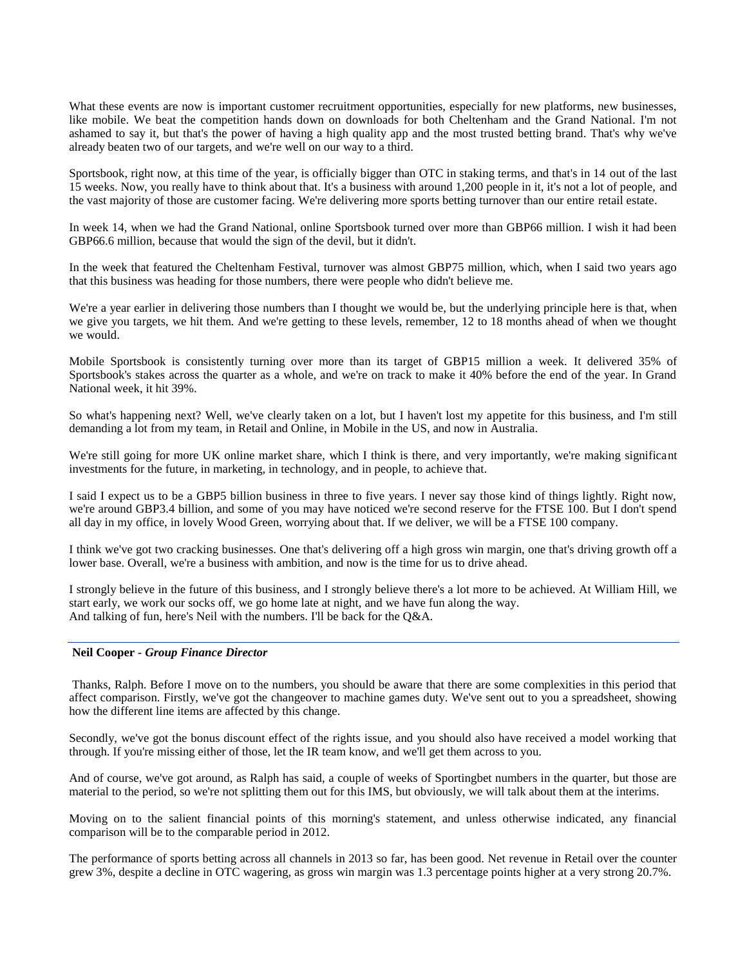What these events are now is important customer recruitment opportunities, especially for new platforms, new businesses, like mobile. We beat the competition hands down on downloads for both Cheltenham and the Grand National. I'm not ashamed to say it, but that's the power of having a high quality app and the most trusted betting brand. That's why we've already beaten two of our targets, and we're well on our way to a third.

Sportsbook, right now, at this time of the year, is officially bigger than OTC in staking terms, and that's in 14 out of the last 15 weeks. Now, you really have to think about that. It's a business with around 1,200 people in it, it's not a lot of people, and the vast majority of those are customer facing. We're delivering more sports betting turnover than our entire retail estate.

In week 14, when we had the Grand National, online Sportsbook turned over more than GBP66 million. I wish it had been GBP66.6 million, because that would the sign of the devil, but it didn't.

In the week that featured the Cheltenham Festival, turnover was almost GBP75 million, which, when I said two years ago that this business was heading for those numbers, there were people who didn't believe me.

We're a year earlier in delivering those numbers than I thought we would be, but the underlying principle here is that, when we give you targets, we hit them. And we're getting to these levels, remember, 12 to 18 months ahead of when we thought we would.

Mobile Sportsbook is consistently turning over more than its target of GBP15 million a week. It delivered 35% of Sportsbook's stakes across the quarter as a whole, and we're on track to make it 40% before the end of the year. In Grand National week, it hit 39%.

So what's happening next? Well, we've clearly taken on a lot, but I haven't lost my appetite for this business, and I'm still demanding a lot from my team, in Retail and Online, in Mobile in the US, and now in Australia.

We're still going for more UK online market share, which I think is there, and very importantly, we're making significant investments for the future, in marketing, in technology, and in people, to achieve that.

I said I expect us to be a GBP5 billion business in three to five years. I never say those kind of things lightly. Right now, we're around GBP3.4 billion, and some of you may have noticed we're second reserve for the FTSE 100. But I don't spend all day in my office, in lovely Wood Green, worrying about that. If we deliver, we will be a FTSE 100 company.

I think we've got two cracking businesses. One that's delivering off a high gross win margin, one that's driving growth off a lower base. Overall, we're a business with ambition, and now is the time for us to drive ahead.

I strongly believe in the future of this business, and I strongly believe there's a lot more to be achieved. At William Hill, we start early, we work our socks off, we go home late at night, and we have fun along the way. And talking of fun, here's Neil with the numbers. I'll be back for the Q&A.

#### **Neil Cooper** *- Group Finance Director*

Thanks, Ralph. Before I move on to the numbers, you should be aware that there are some complexities in this period that affect comparison. Firstly, we've got the changeover to machine games duty. We've sent out to you a spreadsheet, showing how the different line items are affected by this change.

Secondly, we've got the bonus discount effect of the rights issue, and you should also have received a model working that through. If you're missing either of those, let the IR team know, and we'll get them across to you.

And of course, we've got around, as Ralph has said, a couple of weeks of Sportingbet numbers in the quarter, but those are material to the period, so we're not splitting them out for this IMS, but obviously, we will talk about them at the interims.

Moving on to the salient financial points of this morning's statement, and unless otherwise indicated, any financial comparison will be to the comparable period in 2012.

The performance of sports betting across all channels in 2013 so far, has been good. Net revenue in Retail over the counter grew 3%, despite a decline in OTC wagering, as gross win margin was 1.3 percentage points higher at a very strong 20.7%.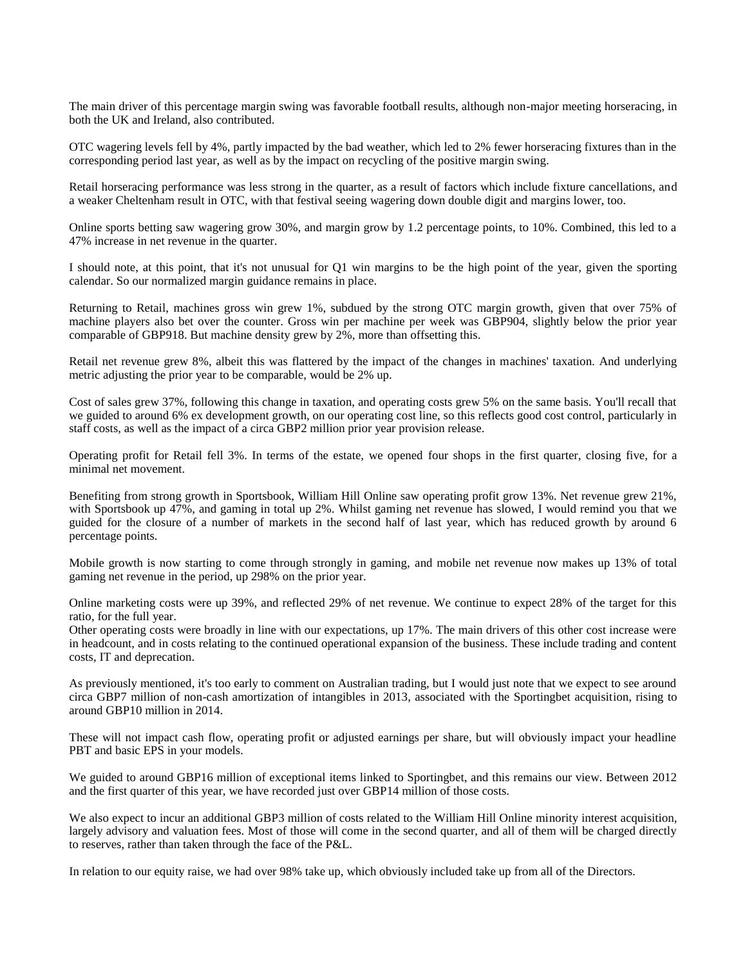The main driver of this percentage margin swing was favorable football results, although non-major meeting horseracing, in both the UK and Ireland, also contributed.

OTC wagering levels fell by 4%, partly impacted by the bad weather, which led to 2% fewer horseracing fixtures than in the corresponding period last year, as well as by the impact on recycling of the positive margin swing.

Retail horseracing performance was less strong in the quarter, as a result of factors which include fixture cancellations, and a weaker Cheltenham result in OTC, with that festival seeing wagering down double digit and margins lower, too.

Online sports betting saw wagering grow 30%, and margin grow by 1.2 percentage points, to 10%. Combined, this led to a 47% increase in net revenue in the quarter.

I should note, at this point, that it's not unusual for Q1 win margins to be the high point of the year, given the sporting calendar. So our normalized margin guidance remains in place.

Returning to Retail, machines gross win grew 1%, subdued by the strong OTC margin growth, given that over 75% of machine players also bet over the counter. Gross win per machine per week was GBP904, slightly below the prior year comparable of GBP918. But machine density grew by 2%, more than offsetting this.

Retail net revenue grew 8%, albeit this was flattered by the impact of the changes in machines' taxation. And underlying metric adjusting the prior year to be comparable, would be 2% up.

Cost of sales grew 37%, following this change in taxation, and operating costs grew 5% on the same basis. You'll recall that we guided to around 6% ex development growth, on our operating cost line, so this reflects good cost control, particularly in staff costs, as well as the impact of a circa GBP2 million prior year provision release.

Operating profit for Retail fell 3%. In terms of the estate, we opened four shops in the first quarter, closing five, for a minimal net movement.

Benefiting from strong growth in Sportsbook, William Hill Online saw operating profit grow 13%. Net revenue grew 21%, with Sportsbook up 47%, and gaming in total up 2%. Whilst gaming net revenue has slowed, I would remind you that we guided for the closure of a number of markets in the second half of last year, which has reduced growth by around 6 percentage points.

Mobile growth is now starting to come through strongly in gaming, and mobile net revenue now makes up 13% of total gaming net revenue in the period, up 298% on the prior year.

Online marketing costs were up 39%, and reflected 29% of net revenue. We continue to expect 28% of the target for this ratio, for the full year.

Other operating costs were broadly in line with our expectations, up 17%. The main drivers of this other cost increase were in headcount, and in costs relating to the continued operational expansion of the business. These include trading and content costs, IT and deprecation.

As previously mentioned, it's too early to comment on Australian trading, but I would just note that we expect to see around circa GBP7 million of non-cash amortization of intangibles in 2013, associated with the Sportingbet acquisition, rising to around GBP10 million in 2014.

These will not impact cash flow, operating profit or adjusted earnings per share, but will obviously impact your headline PBT and basic EPS in your models.

We guided to around GBP16 million of exceptional items linked to Sportingbet, and this remains our view. Between 2012 and the first quarter of this year, we have recorded just over GBP14 million of those costs.

We also expect to incur an additional GBP3 million of costs related to the William Hill Online minority interest acquisition, largely advisory and valuation fees. Most of those will come in the second quarter, and all of them will be charged directly to reserves, rather than taken through the face of the P&L.

In relation to our equity raise, we had over 98% take up, which obviously included take up from all of the Directors.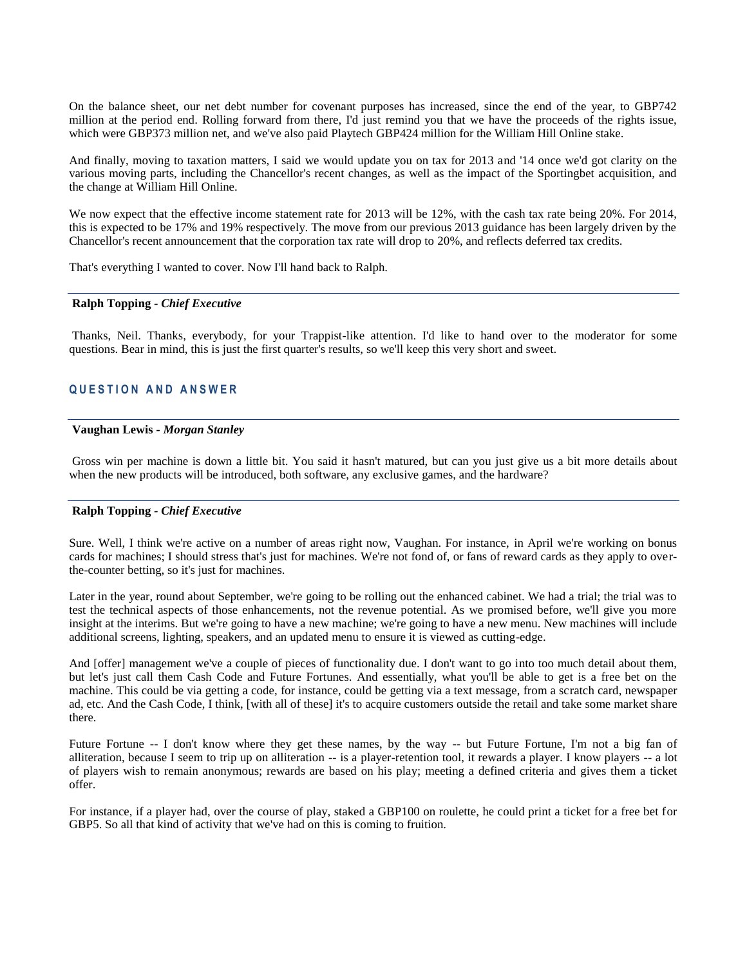On the balance sheet, our net debt number for covenant purposes has increased, since the end of the year, to GBP742 million at the period end. Rolling forward from there, I'd just remind you that we have the proceeds of the rights issue, which were GBP373 million net, and we've also paid Playtech GBP424 million for the William Hill Online stake.

And finally, moving to taxation matters, I said we would update you on tax for 2013 and '14 once we'd got clarity on the various moving parts, including the Chancellor's recent changes, as well as the impact of the Sportingbet acquisition, and the change at William Hill Online.

We now expect that the effective income statement rate for 2013 will be 12%, with the cash tax rate being 20%. For 2014, this is expected to be 17% and 19% respectively. The move from our previous 2013 guidance has been largely driven by the Chancellor's recent announcement that the corporation tax rate will drop to 20%, and reflects deferred tax credits.

That's everything I wanted to cover. Now I'll hand back to Ralph.

## **Ralph Topping** *- Chief Executive*

Thanks, Neil. Thanks, everybody, for your Trappist-like attention. I'd like to hand over to the moderator for some questions. Bear in mind, this is just the first quarter's results, so we'll keep this very short and sweet.

## **Q U E S T I O N A N D A N S W E R**

## **Vaughan Lewis** *- Morgan Stanley*

Gross win per machine is down a little bit. You said it hasn't matured, but can you just give us a bit more details about when the new products will be introduced, both software, any exclusive games, and the hardware?

#### **Ralph Topping** *- Chief Executive*

Sure. Well, I think we're active on a number of areas right now, Vaughan. For instance, in April we're working on bonus cards for machines; I should stress that's just for machines. We're not fond of, or fans of reward cards as they apply to overthe-counter betting, so it's just for machines.

Later in the year, round about September, we're going to be rolling out the enhanced cabinet. We had a trial; the trial was to test the technical aspects of those enhancements, not the revenue potential. As we promised before, we'll give you more insight at the interims. But we're going to have a new machine; we're going to have a new menu. New machines will include additional screens, lighting, speakers, and an updated menu to ensure it is viewed as cutting-edge.

And [offer] management we've a couple of pieces of functionality due. I don't want to go into too much detail about them, but let's just call them Cash Code and Future Fortunes. And essentially, what you'll be able to get is a free bet on the machine. This could be via getting a code, for instance, could be getting via a text message, from a scratch card, newspaper ad, etc. And the Cash Code, I think, [with all of these] it's to acquire customers outside the retail and take some market share there.

Future Fortune -- I don't know where they get these names, by the way -- but Future Fortune, I'm not a big fan of alliteration, because I seem to trip up on alliteration -- is a player-retention tool, it rewards a player. I know players -- a lot of players wish to remain anonymous; rewards are based on his play; meeting a defined criteria and gives them a ticket offer.

For instance, if a player had, over the course of play, staked a GBP100 on roulette, he could print a ticket for a free bet for GBP5. So all that kind of activity that we've had on this is coming to fruition.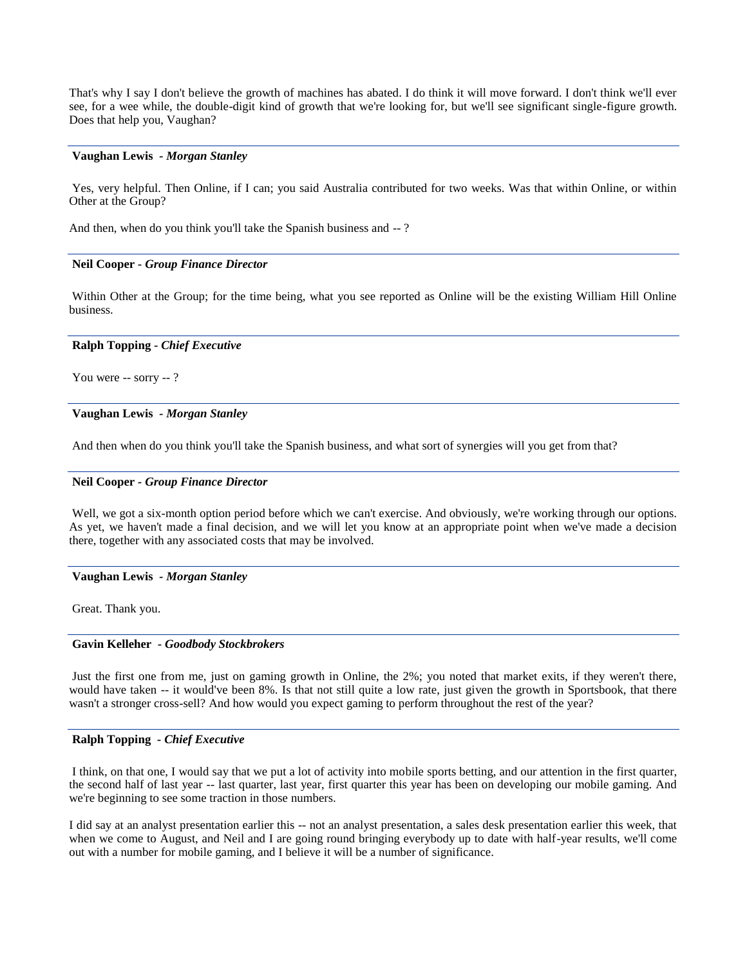That's why I say I don't believe the growth of machines has abated. I do think it will move forward. I don't think we'll ever see, for a wee while, the double-digit kind of growth that we're looking for, but we'll see significant single-figure growth. Does that help you, Vaughan?

#### **Vaughan Lewis** *- Morgan Stanley*

Yes, very helpful. Then Online, if I can; you said Australia contributed for two weeks. Was that within Online, or within Other at the Group?

And then, when do you think you'll take the Spanish business and --?

#### **Neil Cooper** *- Group Finance Director*

Within Other at the Group; for the time being, what you see reported as Online will be the existing William Hill Online business.

#### **Ralph Topping** *- Chief Executive*

You were -- sorry -- ?

#### **Vaughan Lewis** *- Morgan Stanley*

And then when do you think you'll take the Spanish business, and what sort of synergies will you get from that?

#### **Neil Cooper** *- Group Finance Director*

Well, we got a six-month option period before which we can't exercise. And obviously, we're working through our options. As yet, we haven't made a final decision, and we will let you know at an appropriate point when we've made a decision there, together with any associated costs that may be involved.

#### **Vaughan Lewis** *- Morgan Stanley*

Great. Thank you.

## **Gavin Kelleher** *- Goodbody Stockbrokers*

Just the first one from me, just on gaming growth in Online, the 2%; you noted that market exits, if they weren't there, would have taken -- it would've been 8%. Is that not still quite a low rate, just given the growth in Sportsbook, that there wasn't a stronger cross-sell? And how would you expect gaming to perform throughout the rest of the year?

## **Ralph Topping** *- Chief Executive*

I think, on that one, I would say that we put a lot of activity into mobile sports betting, and our attention in the first quarter, the second half of last year -- last quarter, last year, first quarter this year has been on developing our mobile gaming. And we're beginning to see some traction in those numbers.

I did say at an analyst presentation earlier this -- not an analyst presentation, a sales desk presentation earlier this week, that when we come to August, and Neil and I are going round bringing everybody up to date with half-year results, we'll come out with a number for mobile gaming, and I believe it will be a number of significance.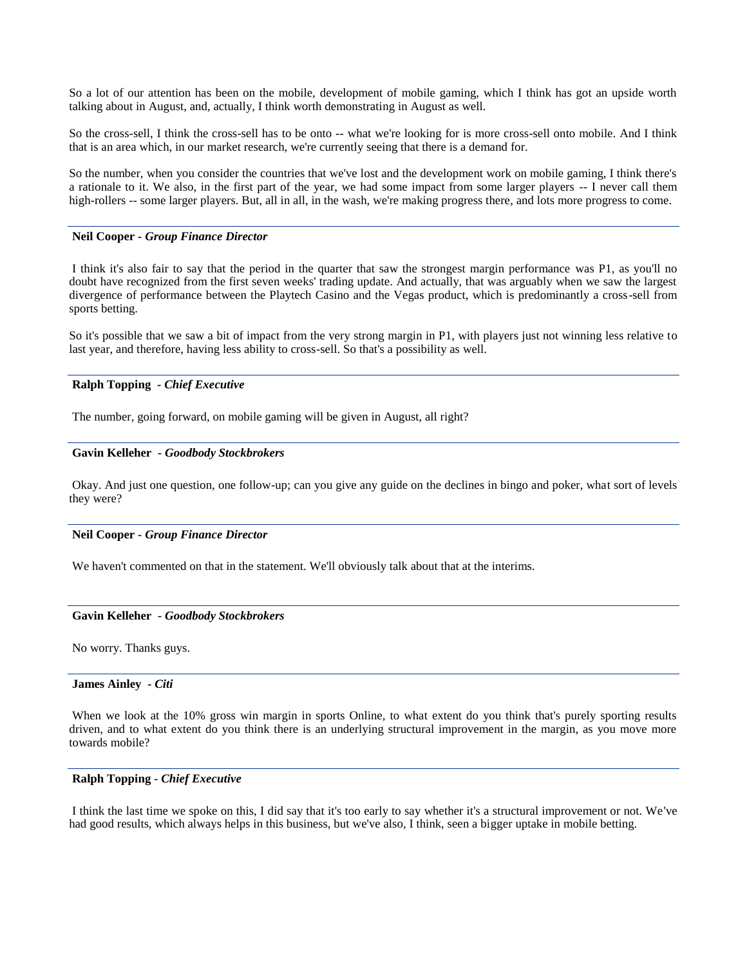So a lot of our attention has been on the mobile, development of mobile gaming, which I think has got an upside worth talking about in August, and, actually, I think worth demonstrating in August as well.

So the cross-sell, I think the cross-sell has to be onto -- what we're looking for is more cross-sell onto mobile. And I think that is an area which, in our market research, we're currently seeing that there is a demand for.

So the number, when you consider the countries that we've lost and the development work on mobile gaming, I think there's a rationale to it. We also, in the first part of the year, we had some impact from some larger players -- I never call them high-rollers -- some larger players. But, all in all, in the wash, we're making progress there, and lots more progress to come.

## **Neil Cooper** *- Group Finance Director*

I think it's also fair to say that the period in the quarter that saw the strongest margin performance was P1, as you'll no doubt have recognized from the first seven weeks' trading update. And actually, that was arguably when we saw the largest divergence of performance between the Playtech Casino and the Vegas product, which is predominantly a cross-sell from sports betting.

So it's possible that we saw a bit of impact from the very strong margin in P1, with players just not winning less relative to last year, and therefore, having less ability to cross-sell. So that's a possibility as well.

## **Ralph Topping** *- Chief Executive*

The number, going forward, on mobile gaming will be given in August, all right?

#### **Gavin Kelleher** *- Goodbody Stockbrokers*

Okay. And just one question, one follow-up; can you give any guide on the declines in bingo and poker, what sort of levels they were?

#### **Neil Cooper** *- Group Finance Director*

We haven't commented on that in the statement. We'll obviously talk about that at the interims.

#### **Gavin Kelleher** *- Goodbody Stockbrokers*

No worry. Thanks guys.

## **James Ainley** *- Citi*

When we look at the 10% gross win margin in sports Online, to what extent do you think that's purely sporting results driven, and to what extent do you think there is an underlying structural improvement in the margin, as you move more towards mobile?

## **Ralph Topping** *- Chief Executive*

I think the last time we spoke on this, I did say that it's too early to say whether it's a structural improvement or not. We've had good results, which always helps in this business, but we've also, I think, seen a bigger uptake in mobile betting.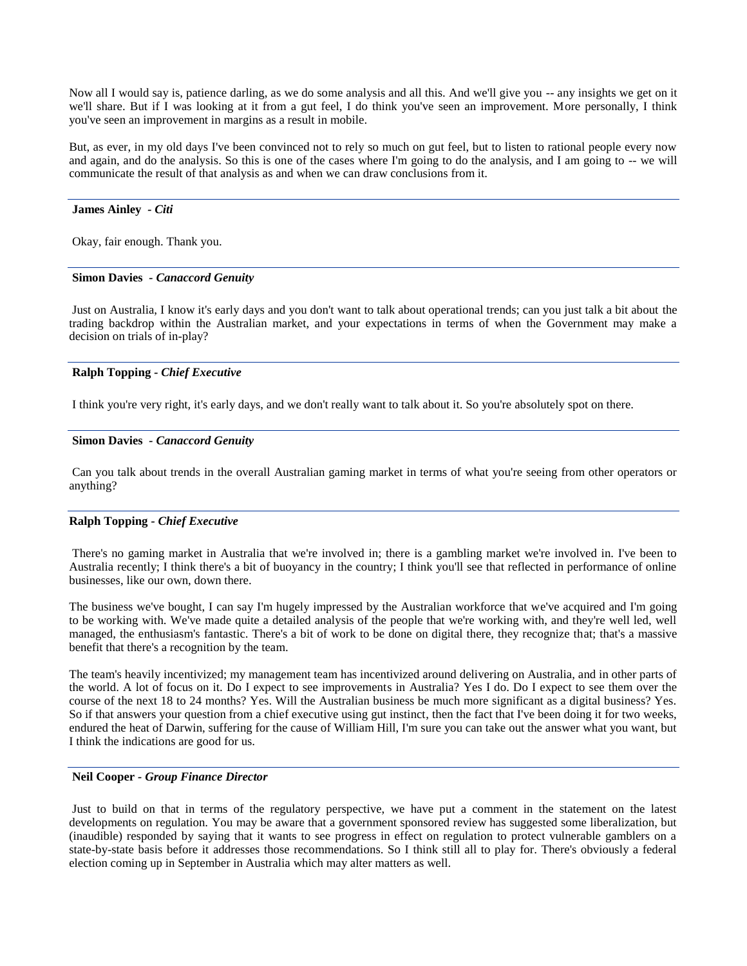Now all I would say is, patience darling, as we do some analysis and all this. And we'll give you -- any insights we get on it we'll share. But if I was looking at it from a gut feel, I do think you've seen an improvement. More personally, I think you've seen an improvement in margins as a result in mobile.

But, as ever, in my old days I've been convinced not to rely so much on gut feel, but to listen to rational people every now and again, and do the analysis. So this is one of the cases where I'm going to do the analysis, and I am going to -- we will communicate the result of that analysis as and when we can draw conclusions from it.

#### **James Ainley** *- Citi*

Okay, fair enough. Thank you.

#### **Simon Davies** *- Canaccord Genuity*

Just on Australia, I know it's early days and you don't want to talk about operational trends; can you just talk a bit about the trading backdrop within the Australian market, and your expectations in terms of when the Government may make a decision on trials of in-play?

## **Ralph Topping** *- Chief Executive*

I think you're very right, it's early days, and we don't really want to talk about it. So you're absolutely spot on there.

#### **Simon Davies** *- Canaccord Genuity*

Can you talk about trends in the overall Australian gaming market in terms of what you're seeing from other operators or anything?

## **Ralph Topping** *- Chief Executive*

There's no gaming market in Australia that we're involved in; there is a gambling market we're involved in. I've been to Australia recently; I think there's a bit of buoyancy in the country; I think you'll see that reflected in performance of online businesses, like our own, down there.

The business we've bought, I can say I'm hugely impressed by the Australian workforce that we've acquired and I'm going to be working with. We've made quite a detailed analysis of the people that we're working with, and they're well led, well managed, the enthusiasm's fantastic. There's a bit of work to be done on digital there, they recognize that; that's a massive benefit that there's a recognition by the team.

The team's heavily incentivized; my management team has incentivized around delivering on Australia, and in other parts of the world. A lot of focus on it. Do I expect to see improvements in Australia? Yes I do. Do I expect to see them over the course of the next 18 to 24 months? Yes. Will the Australian business be much more significant as a digital business? Yes. So if that answers your question from a chief executive using gut instinct, then the fact that I've been doing it for two weeks, endured the heat of Darwin, suffering for the cause of William Hill, I'm sure you can take out the answer what you want, but I think the indications are good for us.

## **Neil Cooper** *- Group Finance Director*

Just to build on that in terms of the regulatory perspective, we have put a comment in the statement on the latest developments on regulation. You may be aware that a government sponsored review has suggested some liberalization, but (inaudible) responded by saying that it wants to see progress in effect on regulation to protect vulnerable gamblers on a state-by-state basis before it addresses those recommendations. So I think still all to play for. There's obviously a federal election coming up in September in Australia which may alter matters as well.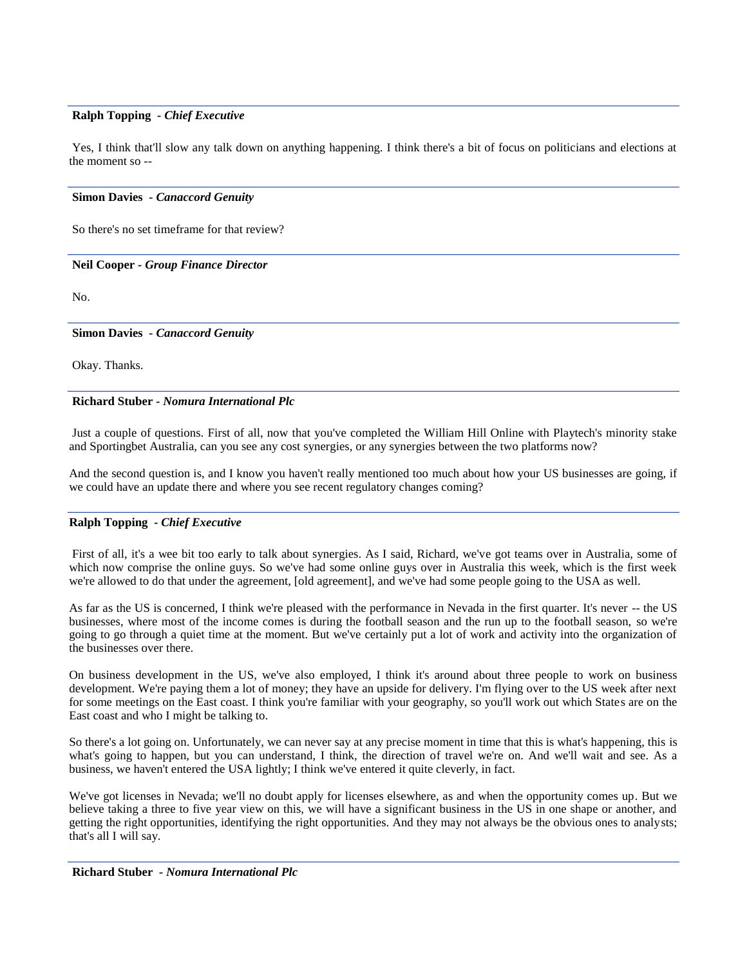## **Ralph Topping** *- Chief Executive*

Yes, I think that'll slow any talk down on anything happening. I think there's a bit of focus on politicians and elections at the moment so --

#### **Simon Davies** *- Canaccord Genuity*

So there's no set timeframe for that review?

## **Neil Cooper** *- Group Finance Director*

No.

## **Simon Davies** *- Canaccord Genuity*

Okay. Thanks.

### **Richard Stuber** *- Nomura International Plc*

Just a couple of questions. First of all, now that you've completed the William Hill Online with Playtech's minority stake and Sportingbet Australia, can you see any cost synergies, or any synergies between the two platforms now?

And the second question is, and I know you haven't really mentioned too much about how your US businesses are going, if we could have an update there and where you see recent regulatory changes coming?

## **Ralph Topping** *- Chief Executive*

First of all, it's a wee bit too early to talk about synergies. As I said, Richard, we've got teams over in Australia, some of which now comprise the online guys. So we've had some online guys over in Australia this week, which is the first week we're allowed to do that under the agreement, [old agreement], and we've had some people going to the USA as well.

As far as the US is concerned, I think we're pleased with the performance in Nevada in the first quarter. It's never -- the US businesses, where most of the income comes is during the football season and the run up to the football season, so we're going to go through a quiet time at the moment. But we've certainly put a lot of work and activity into the organization of the businesses over there.

On business development in the US, we've also employed, I think it's around about three people to work on business development. We're paying them a lot of money; they have an upside for delivery. I'm flying over to the US week after next for some meetings on the East coast. I think you're familiar with your geography, so you'll work out which States are on the East coast and who I might be talking to.

So there's a lot going on. Unfortunately, we can never say at any precise moment in time that this is what's happening, this is what's going to happen, but you can understand, I think, the direction of travel we're on. And we'll wait and see. As a business, we haven't entered the USA lightly; I think we've entered it quite cleverly, in fact.

We've got licenses in Nevada; we'll no doubt apply for licenses elsewhere, as and when the opportunity comes up. But we believe taking a three to five year view on this, we will have a significant business in the US in one shape or another, and getting the right opportunities, identifying the right opportunities. And they may not always be the obvious ones to analysts; that's all I will say.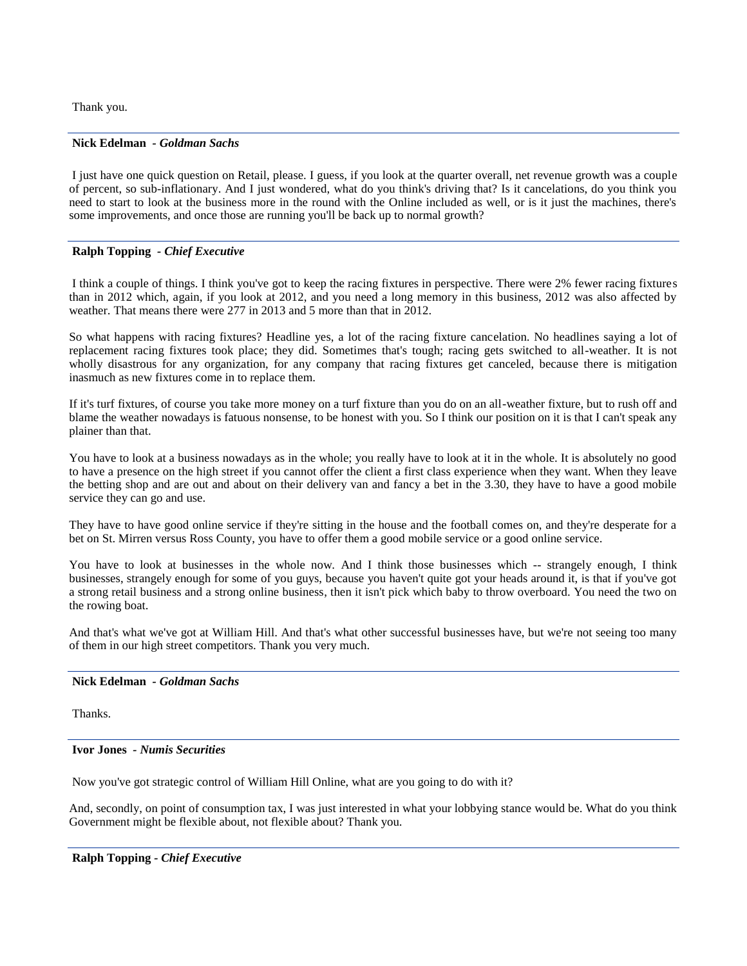Thank you.

## **Nick Edelman** *- Goldman Sachs*

I just have one quick question on Retail, please. I guess, if you look at the quarter overall, net revenue growth was a couple of percent, so sub-inflationary. And I just wondered, what do you think's driving that? Is it cancelations, do you think you need to start to look at the business more in the round with the Online included as well, or is it just the machines, there's some improvements, and once those are running you'll be back up to normal growth?

## **Ralph Topping** *- Chief Executive*

I think a couple of things. I think you've got to keep the racing fixtures in perspective. There were 2% fewer racing fixtures than in 2012 which, again, if you look at 2012, and you need a long memory in this business, 2012 was also affected by weather. That means there were 277 in 2013 and 5 more than that in 2012.

So what happens with racing fixtures? Headline yes, a lot of the racing fixture cancelation. No headlines saying a lot of replacement racing fixtures took place; they did. Sometimes that's tough; racing gets switched to all-weather. It is not wholly disastrous for any organization, for any company that racing fixtures get canceled, because there is mitigation inasmuch as new fixtures come in to replace them.

If it's turf fixtures, of course you take more money on a turf fixture than you do on an all-weather fixture, but to rush off and blame the weather nowadays is fatuous nonsense, to be honest with you. So I think our position on it is that I can't speak any plainer than that.

You have to look at a business nowadays as in the whole; you really have to look at it in the whole. It is absolutely no good to have a presence on the high street if you cannot offer the client a first class experience when they want. When they leave the betting shop and are out and about on their delivery van and fancy a bet in the 3.30, they have to have a good mobile service they can go and use.

They have to have good online service if they're sitting in the house and the football comes on, and they're desperate for a bet on St. Mirren versus Ross County, you have to offer them a good mobile service or a good online service.

You have to look at businesses in the whole now. And I think those businesses which -- strangely enough, I think businesses, strangely enough for some of you guys, because you haven't quite got your heads around it, is that if you've got a strong retail business and a strong online business, then it isn't pick which baby to throw overboard. You need the two on the rowing boat.

And that's what we've got at William Hill. And that's what other successful businesses have, but we're not seeing too many of them in our high street competitors. Thank you very much.

## **Nick Edelman** *- Goldman Sachs*

Thanks.

#### **Ivor Jones** *- Numis Securities*

Now you've got strategic control of William Hill Online, what are you going to do with it?

And, secondly, on point of consumption tax, I was just interested in what your lobbying stance would be. What do you think Government might be flexible about, not flexible about? Thank you.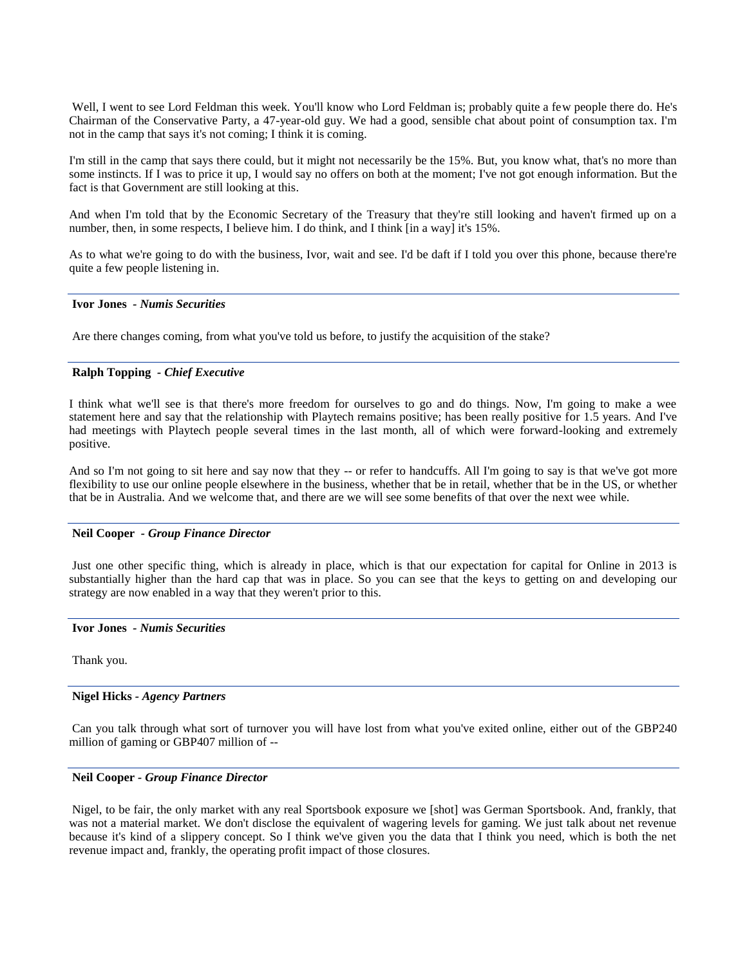Well, I went to see Lord Feldman this week. You'll know who Lord Feldman is; probably quite a few people there do. He's Chairman of the Conservative Party, a 47-year-old guy. We had a good, sensible chat about point of consumption tax. I'm not in the camp that says it's not coming; I think it is coming.

I'm still in the camp that says there could, but it might not necessarily be the 15%. But, you know what, that's no more than some instincts. If I was to price it up, I would say no offers on both at the moment; I've not got enough information. But the fact is that Government are still looking at this.

And when I'm told that by the Economic Secretary of the Treasury that they're still looking and haven't firmed up on a number, then, in some respects, I believe him. I do think, and I think [in a way] it's 15%.

As to what we're going to do with the business, Ivor, wait and see. I'd be daft if I told you over this phone, because there're quite a few people listening in.

## **Ivor Jones** *- Numis Securities*

Are there changes coming, from what you've told us before, to justify the acquisition of the stake?

## **Ralph Topping** *- Chief Executive*

I think what we'll see is that there's more freedom for ourselves to go and do things. Now, I'm going to make a wee statement here and say that the relationship with Playtech remains positive; has been really positive for 1.5 years. And I've had meetings with Playtech people several times in the last month, all of which were forward-looking and extremely positive.

And so I'm not going to sit here and say now that they -- or refer to handcuffs. All I'm going to say is that we've got more flexibility to use our online people elsewhere in the business, whether that be in retail, whether that be in the US, or whether that be in Australia. And we welcome that, and there are we will see some benefits of that over the next wee while.

#### **Neil Cooper** *- Group Finance Director*

Just one other specific thing, which is already in place, which is that our expectation for capital for Online in 2013 is substantially higher than the hard cap that was in place. So you can see that the keys to getting on and developing our strategy are now enabled in a way that they weren't prior to this.

#### **Ivor Jones** *- Numis Securities*

Thank you.

### **Nigel Hicks** *- Agency Partners*

Can you talk through what sort of turnover you will have lost from what you've exited online, either out of the GBP240 million of gaming or GBP407 million of --

#### **Neil Cooper** *- Group Finance Director*

Nigel, to be fair, the only market with any real Sportsbook exposure we [shot] was German Sportsbook. And, frankly, that was not a material market. We don't disclose the equivalent of wagering levels for gaming. We just talk about net revenue because it's kind of a slippery concept. So I think we've given you the data that I think you need, which is both the net revenue impact and, frankly, the operating profit impact of those closures.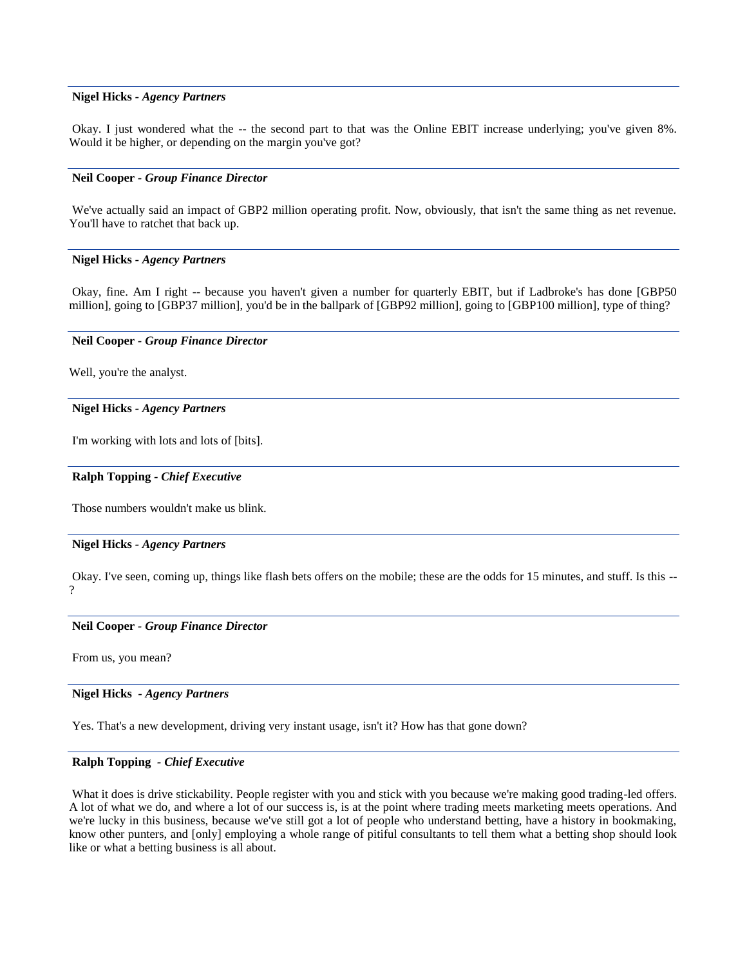#### **Nigel Hicks** *- Agency Partners*

Okay. I just wondered what the -- the second part to that was the Online EBIT increase underlying; you've given 8%. Would it be higher, or depending on the margin you've got?

#### **Neil Cooper** *- Group Finance Director*

We've actually said an impact of GBP2 million operating profit. Now, obviously, that isn't the same thing as net revenue. You'll have to ratchet that back up.

#### **Nigel Hicks** *- Agency Partners*

Okay, fine. Am I right -- because you haven't given a number for quarterly EBIT, but if Ladbroke's has done [GBP50 million], going to [GBP37 million], you'd be in the ballpark of [GBP92 million], going to [GBP100 million], type of thing?

#### **Neil Cooper** *- Group Finance Director*

Well, you're the analyst.

#### **Nigel Hicks** *- Agency Partners*

I'm working with lots and lots of [bits].

#### **Ralph Topping** *- Chief Executive*

Those numbers wouldn't make us blink.

#### **Nigel Hicks** *- Agency Partners*

Okay. I've seen, coming up, things like flash bets offers on the mobile; these are the odds for 15 minutes, and stuff. Is this -- ?

#### **Neil Cooper** *- Group Finance Director*

From us, you mean?

## **Nigel Hicks** *- Agency Partners*

Yes. That's a new development, driving very instant usage, isn't it? How has that gone down?

## **Ralph Topping** *- Chief Executive*

What it does is drive stickability. People register with you and stick with you because we're making good trading-led offers. A lot of what we do, and where a lot of our success is, is at the point where trading meets marketing meets operations. And we're lucky in this business, because we've still got a lot of people who understand betting, have a history in bookmaking, know other punters, and [only] employing a whole range of pitiful consultants to tell them what a betting shop should look like or what a betting business is all about.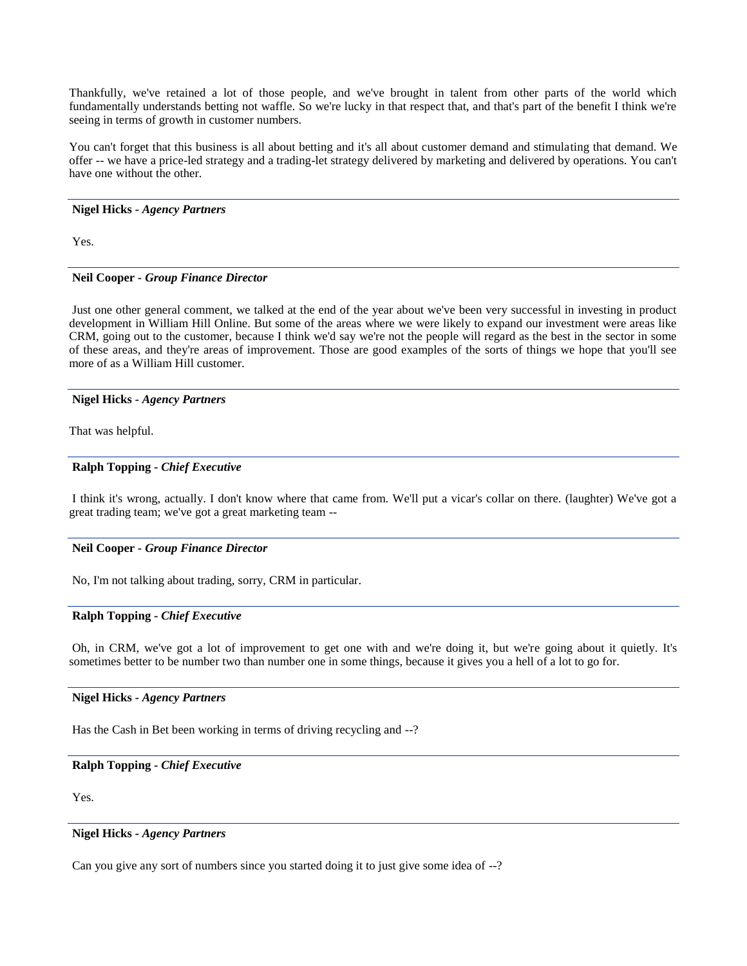Thankfully, we've retained a lot of those people, and we've brought in talent from other parts of the world which fundamentally understands betting not waffle. So we're lucky in that respect that, and that's part of the benefit I think we're seeing in terms of growth in customer numbers.

You can't forget that this business is all about betting and it's all about customer demand and stimulating that demand. We offer -- we have a price-led strategy and a trading-let strategy delivered by marketing and delivered by operations. You can't have one without the other.

## **Nigel Hicks** *- Agency Partners*

Yes.

## **Neil Cooper** *- Group Finance Director*

Just one other general comment, we talked at the end of the year about we've been very successful in investing in product development in William Hill Online. But some of the areas where we were likely to expand our investment were areas like CRM, going out to the customer, because I think we'd say we're not the people will regard as the best in the sector in some of these areas, and they're areas of improvement. Those are good examples of the sorts of things we hope that you'll see more of as a William Hill customer.

#### **Nigel Hicks** *- Agency Partners*

That was helpful.

## **Ralph Topping** *- Chief Executive*

I think it's wrong, actually. I don't know where that came from. We'll put a vicar's collar on there. (laughter) We've got a great trading team; we've got a great marketing team --

## **Neil Cooper** *- Group Finance Director*

No, I'm not talking about trading, sorry, CRM in particular.

## **Ralph Topping** *- Chief Executive*

Oh, in CRM, we've got a lot of improvement to get one with and we're doing it, but we're going about it quietly. It's sometimes better to be number two than number one in some things, because it gives you a hell of a lot to go for.

## **Nigel Hicks** *- Agency Partners*

Has the Cash in Bet been working in terms of driving recycling and --?

## **Ralph Topping** *- Chief Executive*

Yes.

#### **Nigel Hicks** *- Agency Partners*

Can you give any sort of numbers since you started doing it to just give some idea of --?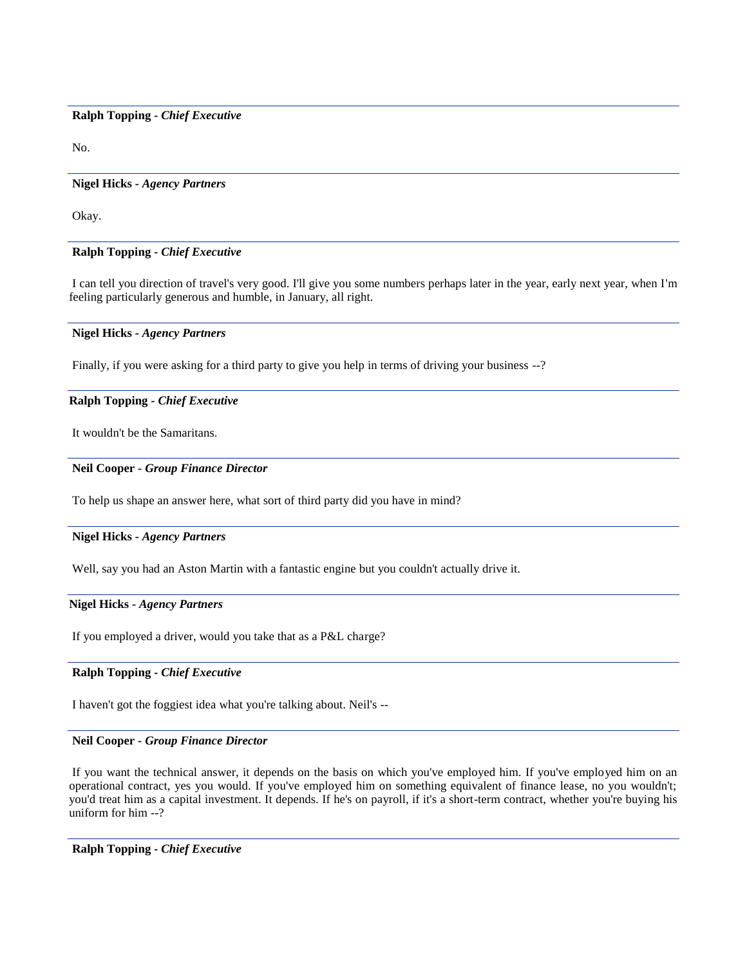### **Ralph Topping** *- Chief Executive*

No.

#### **Nigel Hicks** *- Agency Partners*

Okay.

## **Ralph Topping** *- Chief Executive*

I can tell you direction of travel's very good. I'll give you some numbers perhaps later in the year, early next year, when I'm feeling particularly generous and humble, in January, all right.

#### **Nigel Hicks** *- Agency Partners*

Finally, if you were asking for a third party to give you help in terms of driving your business --?

## **Ralph Topping** *- Chief Executive*

It wouldn't be the Samaritans.

## **Neil Cooper** *- Group Finance Director*

To help us shape an answer here, what sort of third party did you have in mind?

#### **Nigel Hicks** *- Agency Partners*

Well, say you had an Aston Martin with a fantastic engine but you couldn't actually drive it.

## **Nigel Hicks** *- Agency Partners*

If you employed a driver, would you take that as a P&L charge?

## **Ralph Topping** *- Chief Executive*

I haven't got the foggiest idea what you're talking about. Neil's --

#### **Neil Cooper** *- Group Finance Director*

If you want the technical answer, it depends on the basis on which you've employed him. If you've employed him on an operational contract, yes you would. If you've employed him on something equivalent of finance lease, no you wouldn't; you'd treat him as a capital investment. It depends. If he's on payroll, if it's a short-term contract, whether you're buying his uniform for him --?

**Ralph Topping** *- Chief Executive*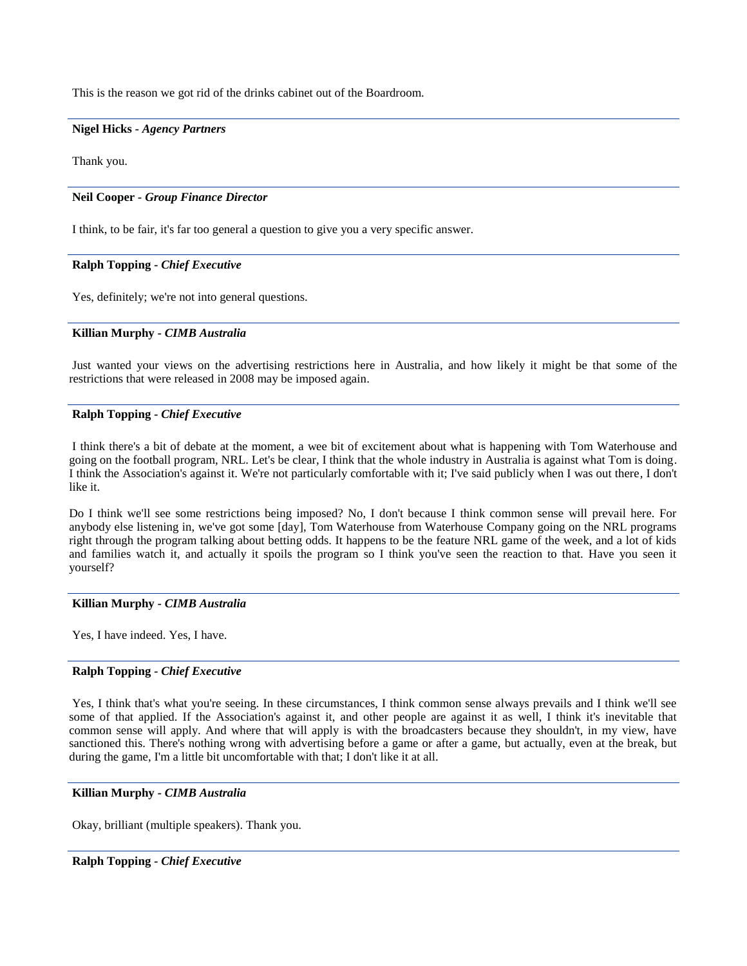This is the reason we got rid of the drinks cabinet out of the Boardroom.

#### **Nigel Hicks** *- Agency Partners*

Thank you.

#### **Neil Cooper** *- Group Finance Director*

I think, to be fair, it's far too general a question to give you a very specific answer.

#### **Ralph Topping** *- Chief Executive*

Yes, definitely; we're not into general questions.

#### **Killian Murphy** *- CIMB Australia*

Just wanted your views on the advertising restrictions here in Australia, and how likely it might be that some of the restrictions that were released in 2008 may be imposed again.

## **Ralph Topping** *- Chief Executive*

I think there's a bit of debate at the moment, a wee bit of excitement about what is happening with Tom Waterhouse and going on the football program, NRL. Let's be clear, I think that the whole industry in Australia is against what Tom is doing. I think the Association's against it. We're not particularly comfortable with it; I've said publicly when I was out there, I don't like it.

Do I think we'll see some restrictions being imposed? No, I don't because I think common sense will prevail here. For anybody else listening in, we've got some [day], Tom Waterhouse from Waterhouse Company going on the NRL programs right through the program talking about betting odds. It happens to be the feature NRL game of the week, and a lot of kids and families watch it, and actually it spoils the program so I think you've seen the reaction to that. Have you seen it yourself?

## **Killian Murphy** *- CIMB Australia*

Yes, I have indeed. Yes, I have.

## **Ralph Topping** *- Chief Executive*

Yes, I think that's what you're seeing. In these circumstances, I think common sense always prevails and I think we'll see some of that applied. If the Association's against it, and other people are against it as well, I think it's inevitable that common sense will apply. And where that will apply is with the broadcasters because they shouldn't, in my view, have sanctioned this. There's nothing wrong with advertising before a game or after a game, but actually, even at the break, but during the game, I'm a little bit uncomfortable with that; I don't like it at all.

## **Killian Murphy** *- CIMB Australia*

Okay, brilliant (multiple speakers). Thank you.

## **Ralph Topping** *- Chief Executive*